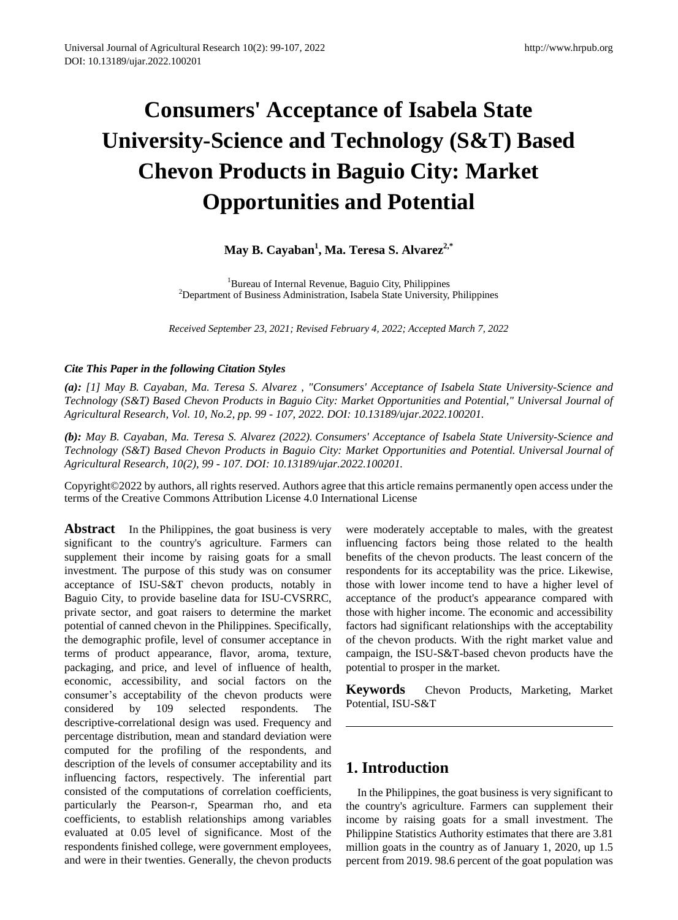# **Consumers' Acceptance of Isabela State University-Science and Technology (S&T) Based Chevon Products in Baguio City: Market Opportunities and Potential**

# **May B. Cayaban<sup>1</sup> , Ma. Teresa S. Alvarez2,\***

<sup>1</sup>Bureau of Internal Revenue, Baguio City, Philippines <sup>2</sup>Department of Business Administration, Isabela State University, Philippines

*Received September 23, 2021; Revised February 4, 2022; Accepted March 7, 2022* 

## *Cite This Paper in the following Citation Styles*

*(a): [1] May B. Cayaban, Ma. Teresa S. Alvarez , "Consumers' Acceptance of Isabela State University-Science and Technology (S&T) Based Chevon Products in Baguio City: Market Opportunities and Potential," Universal Journal of Agricultural Research, Vol. 10, No.2, pp. 99 - 107, 2022. DOI: 10.13189/ujar.2022.100201.* 

*(b): May B. Cayaban, Ma. Teresa S. Alvarez (2022). Consumers' Acceptance of Isabela State University-Science and Technology (S&T) Based Chevon Products in Baguio City: Market Opportunities and Potential. Universal Journal of Agricultural Research, 10(2), 99 - 107. DOI: 10.13189/ujar.2022.100201.* 

Copyright©2022 by authors, all rights reserved. Authors agree that this article remains permanently open access under the terms of the Creative Commons Attribution License 4.0 International License

**Abstract** In the Philippines, the goat business is very significant to the country's agriculture. Farmers can supplement their income by raising goats for a small investment. The purpose of this study was on consumer acceptance of ISU-S&T chevon products, notably in Baguio City, to provide baseline data for ISU-CVSRRC, private sector, and goat raisers to determine the market potential of canned chevon in the Philippines. Specifically, the demographic profile, level of consumer acceptance in terms of product appearance, flavor, aroma, texture, packaging, and price, and level of influence of health, economic, accessibility, and social factors on the consumer's acceptability of the chevon products were considered by 109 selected respondents. The descriptive-correlational design was used. Frequency and percentage distribution, mean and standard deviation were computed for the profiling of the respondents, and description of the levels of consumer acceptability and its influencing factors, respectively. The inferential part consisted of the computations of correlation coefficients, particularly the Pearson-r, Spearman rho, and eta coefficients, to establish relationships among variables evaluated at 0.05 level of significance. Most of the respondents finished college, were government employees, and were in their twenties. Generally, the chevon products

were moderately acceptable to males, with the greatest influencing factors being those related to the health benefits of the chevon products. The least concern of the respondents for its acceptability was the price. Likewise, those with lower income tend to have a higher level of acceptance of the product's appearance compared with those with higher income. The economic and accessibility factors had significant relationships with the acceptability of the chevon products. With the right market value and campaign, the ISU-S&T-based chevon products have the potential to prosper in the market.

**Keywords** Chevon Products, Marketing, Market Potential, ISU-S&T

## **1. Introduction**

In the Philippines, the goat business is very significant to the country's agriculture. Farmers can supplement their income by raising goats for a small investment. The Philippine Statistics Authority estimates that there are 3.81 million goats in the country as of January 1, 2020, up 1.5 percent from 2019. 98.6 percent of the goat population was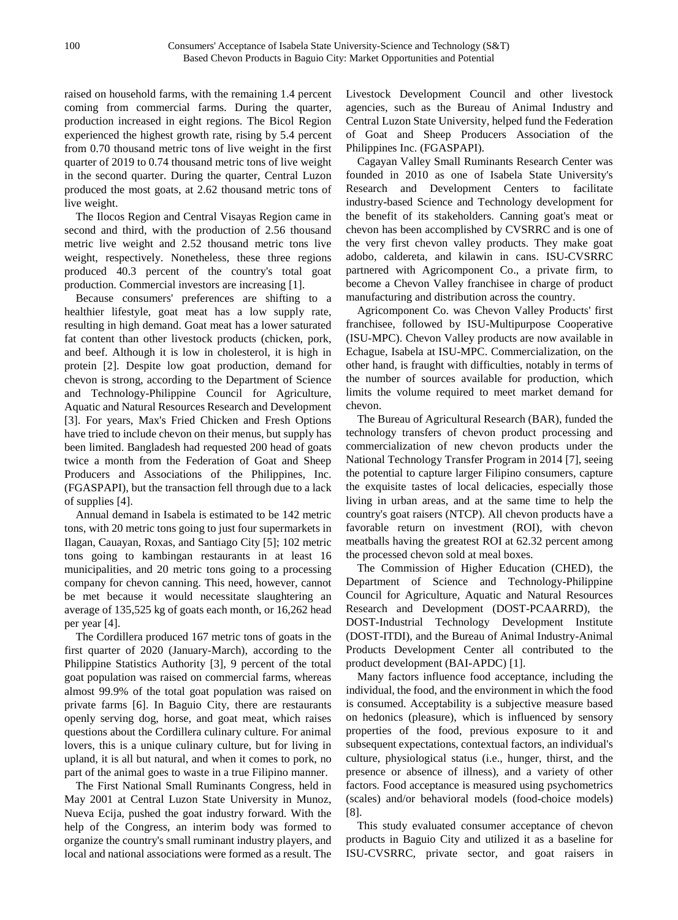raised on household farms, with the remaining 1.4 percent coming from commercial farms. During the quarter, production increased in eight regions. The Bicol Region experienced the highest growth rate, rising by 5.4 percent from 0.70 thousand metric tons of live weight in the first quarter of 2019 to 0.74 thousand metric tons of live weight in the second quarter. During the quarter, Central Luzon produced the most goats, at 2.62 thousand metric tons of live weight.

The Ilocos Region and Central Visayas Region came in second and third, with the production of 2.56 thousand metric live weight and 2.52 thousand metric tons live weight, respectively. Nonetheless, these three regions produced 40.3 percent of the country's total goat production. Commercial investors are increasing [1].

Because consumers' preferences are shifting to a healthier lifestyle, goat meat has a low supply rate, resulting in high demand. Goat meat has a lower saturated fat content than other livestock products (chicken, pork, and beef. Although it is low in cholesterol, it is high in protein [2]. Despite low goat production, demand for chevon is strong, according to the Department of Science and Technology-Philippine Council for Agriculture, Aquatic and Natural Resources Research and Development [3]. For years, Max's Fried Chicken and Fresh Options have tried to include chevon on their menus, but supply has been limited. Bangladesh had requested 200 head of goats twice a month from the Federation of Goat and Sheep Producers and Associations of the Philippines, Inc. (FGASPAPI), but the transaction fell through due to a lack of supplies [4].

Annual demand in Isabela is estimated to be 142 metric tons, with 20 metric tons going to just four supermarkets in Ilagan, Cauayan, Roxas, and Santiago City [5]; 102 metric tons going to kambingan restaurants in at least 16 municipalities, and 20 metric tons going to a processing company for chevon canning. This need, however, cannot be met because it would necessitate slaughtering an average of 135,525 kg of goats each month, or 16,262 head per year [4].

The Cordillera produced 167 metric tons of goats in the first quarter of 2020 (January-March), according to the Philippine Statistics Authority [3], 9 percent of the total goat population was raised on commercial farms, whereas almost 99.9% of the total goat population was raised on private farms [6]. In Baguio City, there are restaurants openly serving dog, horse, and goat meat, which raises questions about the Cordillera culinary culture. For animal lovers, this is a unique culinary culture, but for living in upland, it is all but natural, and when it comes to pork, no part of the animal goes to waste in a true Filipino manner.

The First National Small Ruminants Congress, held in May 2001 at Central Luzon State University in Munoz, Nueva Ecija, pushed the goat industry forward. With the help of the Congress, an interim body was formed to organize the country's small ruminant industry players, and local and national associations were formed as a result. The Livestock Development Council and other livestock agencies, such as the Bureau of Animal Industry and Central Luzon State University, helped fund the Federation of Goat and Sheep Producers Association of the Philippines Inc. (FGASPAPI).

Cagayan Valley Small Ruminants Research Center was founded in 2010 as one of Isabela State University's Research and Development Centers to facilitate industry-based Science and Technology development for the benefit of its stakeholders. Canning goat's meat or chevon has been accomplished by CVSRRC and is one of the very first chevon valley products. They make goat adobo, caldereta, and kilawin in cans. ISU-CVSRRC partnered with Agricomponent Co., a private firm, to become a Chevon Valley franchisee in charge of product manufacturing and distribution across the country.

Agricomponent Co. was Chevon Valley Products' first franchisee, followed by ISU-Multipurpose Cooperative (ISU-MPC). Chevon Valley products are now available in Echague, Isabela at ISU-MPC. Commercialization, on the other hand, is fraught with difficulties, notably in terms of the number of sources available for production, which limits the volume required to meet market demand for chevon.

The Bureau of Agricultural Research (BAR), funded the technology transfers of chevon product processing and commercialization of new chevon products under the National Technology Transfer Program in 2014 [7], seeing the potential to capture larger Filipino consumers, capture the exquisite tastes of local delicacies, especially those living in urban areas, and at the same time to help the country's goat raisers (NTCP). All chevon products have a favorable return on investment (ROI), with chevon meatballs having the greatest ROI at 62.32 percent among the processed chevon sold at meal boxes.

The Commission of Higher Education (CHED), the Department of Science and Technology-Philippine Council for Agriculture, Aquatic and Natural Resources Research and Development (DOST-PCAARRD), the DOST-Industrial Technology Development Institute (DOST-ITDI), and the Bureau of Animal Industry-Animal Products Development Center all contributed to the product development (BAI-APDC) [1].

Many factors influence food acceptance, including the individual, the food, and the environment in which the food is consumed. Acceptability is a subjective measure based on hedonics (pleasure), which is influenced by sensory properties of the food, previous exposure to it and subsequent expectations, contextual factors, an individual's culture, physiological status (i.e., hunger, thirst, and the presence or absence of illness), and a variety of other factors. Food acceptance is measured using psychometrics (scales) and/or behavioral models (food-choice models) [8].

This study evaluated consumer acceptance of chevon products in Baguio City and utilized it as a baseline for ISU-CVSRRC, private sector, and goat raisers in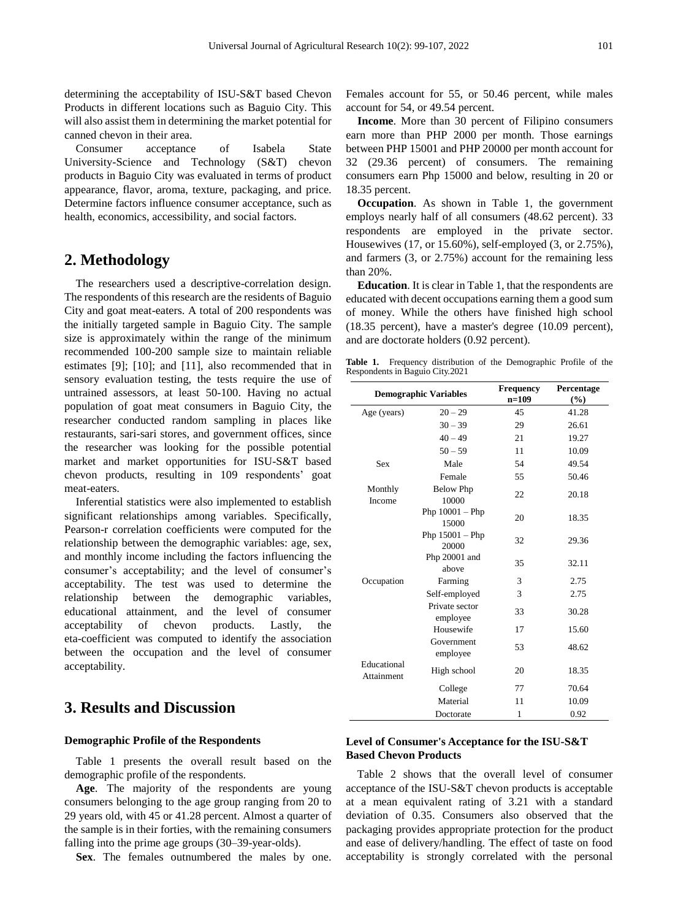determining the acceptability of ISU-S&T based Chevon Products in different locations such as Baguio City. This will also assist them in determining the market potential for canned chevon in their area.

Consumer acceptance of Isabela State University-Science and Technology (S&T) chevon products in Baguio City was evaluated in terms of product appearance, flavor, aroma, texture, packaging, and price. Determine factors influence consumer acceptance, such as health, economics, accessibility, and social factors.

## **2. Methodology**

The researchers used a descriptive-correlation design. The respondents of this research are the residents of Baguio City and goat meat-eaters. A total of 200 respondents was the initially targeted sample in Baguio City. The sample size is approximately within the range of the minimum recommended 100-200 sample size to maintain reliable estimates [9]; [10]; and [11], also recommended that in sensory evaluation testing, the tests require the use of untrained assessors, at least 50-100. Having no actual population of goat meat consumers in Baguio City, the researcher conducted random sampling in places like restaurants, sari-sari stores, and government offices, since the researcher was looking for the possible potential market and market opportunities for ISU-S&T based chevon products, resulting in 109 respondents' goat meat-eaters.

Inferential statistics were also implemented to establish significant relationships among variables. Specifically, Pearson-r correlation coefficients were computed for the relationship between the demographic variables: age, sex, and monthly income including the factors influencing the consumer's acceptability; and the level of consumer's acceptability. The test was used to determine the relationship between the demographic variables, educational attainment, and the level of consumer acceptability of chevon products. Lastly, the eta-coefficient was computed to identify the association between the occupation and the level of consumer acceptability.

# **3. Results and Discussion**

#### **Demographic Profile of the Respondents**

Table 1 presents the overall result based on the demographic profile of the respondents.

**Age**. The majority of the respondents are young consumers belonging to the age group ranging from 20 to 29 years old, with 45 or 41.28 percent. Almost a quarter of the sample is in their forties, with the remaining consumers falling into the prime age groups (30–39-year-olds).

**Sex**. The females outnumbered the males by one.

Females account for 55, or 50.46 percent, while males account for 54, or 49.54 percent.

**Income**. More than 30 percent of Filipino consumers earn more than PHP 2000 per month. Those earnings between PHP 15001 and PHP 20000 per month account for 32 (29.36 percent) of consumers. The remaining consumers earn Php 15000 and below, resulting in 20 or 18.35 percent.

**Occupation**. As shown in Table 1, the government employs nearly half of all consumers (48.62 percent). 33 respondents are employed in the private sector. Housewives (17, or 15.60%), self-employed (3, or 2.75%), and farmers (3, or 2.75%) account for the remaining less than 20%.

**Education**. It is clear in Table 1, that the respondents are educated with decent occupations earning them a good sum of money. While the others have finished high school (18.35 percent), have a master's degree (10.09 percent), and are doctorate holders (0.92 percent).

**Table 1.** Frequency distribution of the Demographic Profile of the Respondents in Baguio City.2021

|                           | <b>Demographic Variables</b> | <b>Frequency</b><br>$n=109$ | Percentage<br>$(\%)$ |  |  |
|---------------------------|------------------------------|-----------------------------|----------------------|--|--|
| Age (years)               | $20 - 29$                    | 45                          | 41.28                |  |  |
|                           | $30 - 39$                    | 29                          | 26.61                |  |  |
|                           | $40 - 49$                    | 21                          | 19.27                |  |  |
|                           | $50 - 59$                    | 11                          | 10.09                |  |  |
| <b>Sex</b>                | Male                         | 54                          | 49.54                |  |  |
|                           | Female                       | 55                          | 50.46                |  |  |
| Monthly<br>Income         | <b>Below Php</b><br>10000    | 22                          | 20.18                |  |  |
|                           | Php $10001 - P$ hp<br>15000  | 20                          | 18.35                |  |  |
|                           | Php $15001 - P$ hp<br>20000  | 32                          | 29.36                |  |  |
|                           | Php 20001 and<br>above       | 35                          | 32.11                |  |  |
| Occupation                | Farming                      | 3                           | 2.75                 |  |  |
|                           | Self-employed                | 3                           | 2.75                 |  |  |
|                           | Private sector<br>employee   | 33                          | 30.28                |  |  |
|                           | Housewife                    | 17                          | 15.60                |  |  |
|                           | Government<br>employee       | 53                          | 48.62                |  |  |
| Educational<br>Attainment | High school                  | 20                          | 18.35                |  |  |
|                           | College                      | 77                          | 70.64                |  |  |
|                           | Material                     | 11                          | 10.09                |  |  |
|                           | Doctorate                    | 1                           | 0.92                 |  |  |

## **Level of Consumer's Acceptance for the ISU-S&T Based Chevon Products**

Table 2 shows that the overall level of consumer acceptance of the ISU-S&T chevon products is acceptable at a mean equivalent rating of 3.21 with a standard deviation of 0.35. Consumers also observed that the packaging provides appropriate protection for the product and ease of delivery/handling. The effect of taste on food acceptability is strongly correlated with the personal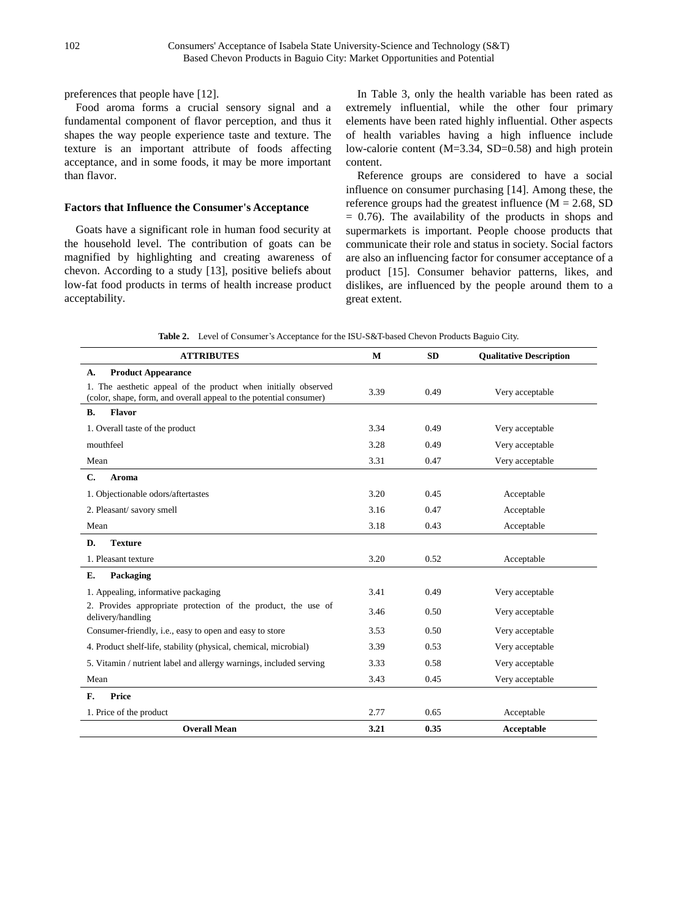preferences that people have [12].

Food aroma forms a crucial sensory signal and a fundamental component of flavor perception, and thus it shapes the way people experience taste and texture. The texture is an important attribute of foods affecting acceptance, and in some foods, it may be more important than flavor.

#### **Factors that Influence the Consumer's Acceptance**

Goats have a significant role in human food security at the household level. The contribution of goats can be magnified by highlighting and creating awareness of chevon. According to a study [13], positive beliefs about low-fat food products in terms of health increase product acceptability.

In Table 3, only the health variable has been rated as extremely influential, while the other four primary elements have been rated highly influential. Other aspects of health variables having a high influence include low-calorie content (M=3.34, SD=0.58) and high protein content.

Reference groups are considered to have a social influence on consumer purchasing [14]. Among these, the reference groups had the greatest influence  $(M = 2.68, SD)$  $= 0.76$ ). The availability of the products in shops and supermarkets is important. People choose products that communicate their role and status in society. Social factors are also an influencing factor for consumer acceptance of a product [15]. Consumer behavior patterns, likes, and dislikes, are influenced by the people around them to a great extent.

**Table 2.** Level of Consumer's Acceptance for the ISU-S&T-based Chevon Products Baguio City.

| <b>ATTRIBUTES</b>                                                                                                                    | M    | <b>SD</b> | <b>Qualitative Description</b> |
|--------------------------------------------------------------------------------------------------------------------------------------|------|-----------|--------------------------------|
| <b>Product Appearance</b><br>А.                                                                                                      |      |           |                                |
| 1. The aesthetic appeal of the product when initially observed<br>(color, shape, form, and overall appeal to the potential consumer) | 3.39 | 0.49      | Very acceptable                |
| <b>Flavor</b><br><b>B.</b>                                                                                                           |      |           |                                |
| 1. Overall taste of the product                                                                                                      | 3.34 | 0.49      | Very acceptable                |
| mouthfeel                                                                                                                            | 3.28 | 0.49      | Very acceptable                |
| Mean                                                                                                                                 | 3.31 | 0.47      | Very acceptable                |
| C.<br>Aroma                                                                                                                          |      |           |                                |
| 1. Objectionable odors/aftertastes                                                                                                   | 3.20 | 0.45      | Acceptable                     |
| 2. Pleasant/savory smell                                                                                                             | 3.16 | 0.47      | Acceptable                     |
| Mean                                                                                                                                 | 3.18 | 0.43      | Acceptable                     |
| <b>Texture</b><br>D.                                                                                                                 |      |           |                                |
| 1. Pleasant texture                                                                                                                  | 3.20 | 0.52      | Acceptable                     |
| Е.<br>Packaging                                                                                                                      |      |           |                                |
| 1. Appealing, informative packaging                                                                                                  | 3.41 | 0.49      | Very acceptable                |
| 2. Provides appropriate protection of the product, the use of<br>delivery/handling                                                   | 3.46 | 0.50      | Very acceptable                |
| Consumer-friendly, i.e., easy to open and easy to store                                                                              | 3.53 | 0.50      | Very acceptable                |
| 4. Product shelf-life, stability (physical, chemical, microbial)                                                                     | 3.39 | 0.53      | Very acceptable                |
| 5. Vitamin / nutrient label and allergy warnings, included serving                                                                   | 3.33 | 0.58      | Very acceptable                |
| Mean                                                                                                                                 | 3.43 | 0.45      | Very acceptable                |
| <b>Price</b><br>$\mathbf{F}$ .                                                                                                       |      |           |                                |
| 1. Price of the product                                                                                                              | 2.77 | 0.65      | Acceptable                     |
| <b>Overall Mean</b>                                                                                                                  | 3.21 | 0.35      | Acceptable                     |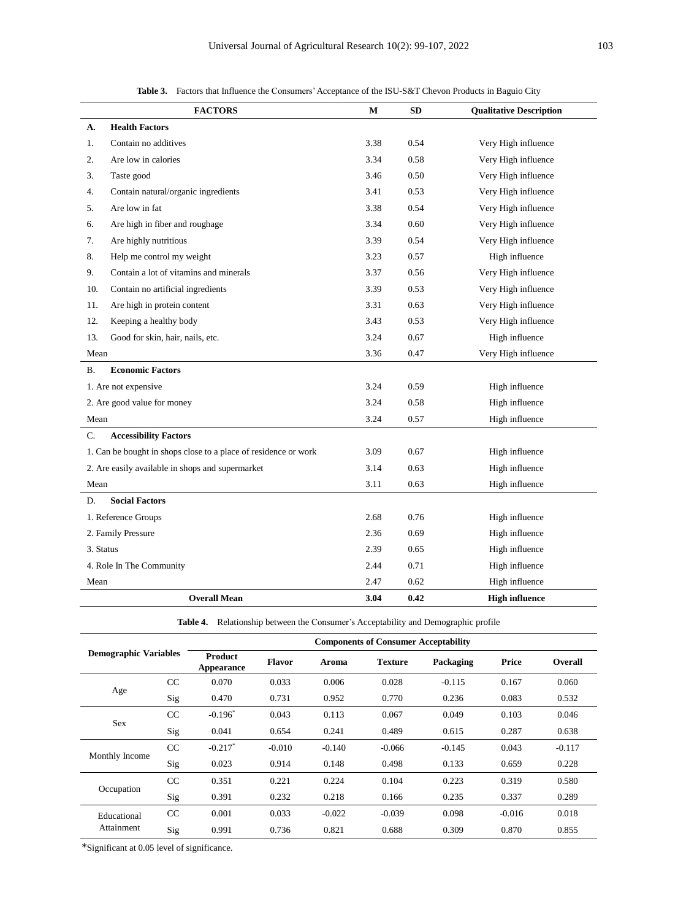| <b>Table 3.</b> Factors that Influence the Consumers' Acceptance of the ISU-S&T Chevon Products in Baguio City |  |
|----------------------------------------------------------------------------------------------------------------|--|
|                                                                                                                |  |

|           | <b>FACTORS</b>                                                  | $\mathbf M$ | SD   | <b>Qualitative Description</b> |
|-----------|-----------------------------------------------------------------|-------------|------|--------------------------------|
| A.        | <b>Health Factors</b>                                           |             |      |                                |
| 1.        | Contain no additives                                            | 3.38        | 0.54 | Very High influence            |
| 2.        | Are low in calories                                             | 3.34        | 0.58 | Very High influence            |
| 3.        | Taste good                                                      | 3.46        | 0.50 | Very High influence            |
| 4.        | Contain natural/organic ingredients                             | 3.41        | 0.53 | Very High influence            |
| 5.        | Are low in fat                                                  | 3.38        | 0.54 | Very High influence            |
| 6.        | Are high in fiber and roughage                                  | 3.34        | 0.60 | Very High influence            |
| 7.        | Are highly nutritious                                           | 3.39        | 0.54 | Very High influence            |
| 8.        | Help me control my weight                                       | 3.23        | 0.57 | High influence                 |
| 9.        | Contain a lot of vitamins and minerals                          | 3.37        | 0.56 | Very High influence            |
| 10.       | Contain no artificial ingredients                               | 3.39        | 0.53 | Very High influence            |
| 11.       | Are high in protein content                                     | 3.31        | 0.63 | Very High influence            |
| 12.       | Keeping a healthy body                                          | 3.43        | 0.53 | Very High influence            |
| 13.       | Good for skin, hair, nails, etc.                                | 3.24        | 0.67 | High influence                 |
| Mean      |                                                                 | 3.36        | 0.47 | Very High influence            |
| <b>B.</b> | <b>Economic Factors</b>                                         |             |      |                                |
|           | 1. Are not expensive                                            | 3.24        | 0.59 | High influence                 |
|           | 2. Are good value for money                                     | 3.24        | 0.58 | High influence                 |
| Mean      |                                                                 | 3.24        | 0.57 | High influence                 |
| C.        | <b>Accessibility Factors</b>                                    |             |      |                                |
|           | 1. Can be bought in shops close to a place of residence or work | 3.09        | 0.67 | High influence                 |
|           | 2. Are easily available in shops and supermarket                | 3.14        | 0.63 | High influence                 |
| Mean      |                                                                 | 3.11        | 0.63 | High influence                 |
| D.        | <b>Social Factors</b>                                           |             |      |                                |
|           | 1. Reference Groups                                             | 2.68        | 0.76 | High influence                 |
|           | 2. Family Pressure                                              | 2.36        | 0.69 | High influence                 |
|           | 3. Status                                                       |             | 0.65 | High influence                 |
|           | 4. Role In The Community                                        | 2.44        | 0.71 | High influence                 |
| Mean      |                                                                 | 2.47        | 0.62 | High influence                 |
|           | <b>Overall Mean</b>                                             | 3.04        | 0.42 | <b>High influence</b>          |

**Table 4.** Relationship between the Consumer's Acceptability and Demographic profile

| <b>Demographic Variables</b>            |     | <b>Components of Consumer Acceptability</b> |          |          |                |           |          |                |
|-----------------------------------------|-----|---------------------------------------------|----------|----------|----------------|-----------|----------|----------------|
|                                         |     | <b>Product</b><br>Appearance                | Flavor   | Aroma    | <b>Texture</b> | Packaging | Price    | <b>Overall</b> |
|                                         | CC  | 0.070                                       | 0.033    | 0.006    | 0.028          | $-0.115$  | 0.167    | 0.060          |
| Age                                     | Sig | 0.470                                       | 0.731    | 0.952    | 0.770          | 0.236     | 0.083    | 0.532          |
|                                         | CC  | $-0.196$ <sup>*</sup>                       | 0.043    | 0.113    | 0.067          | 0.049     | 0.103    | 0.046          |
| <b>Sex</b>                              | Sig | 0.041                                       | 0.654    | 0.241    | 0.489          | 0.615     | 0.287    | 0.638          |
|                                         | CC  | $-0.217$ <sup>*</sup>                       | $-0.010$ | $-0.140$ | $-0.066$       | $-0.145$  | 0.043    | $-0.117$       |
| Monthly Income                          | Sig | 0.023                                       | 0.914    | 0.148    | 0.498          | 0.133     | 0.659    | 0.228          |
|                                         | CC  | 0.351                                       | 0.221    | 0.224    | 0.104          | 0.223     | 0.319    | 0.580          |
|                                         | Sig | 0.391                                       | 0.232    | 0.218    | 0.166          | 0.235     | 0.337    | 0.289          |
| Occupation<br>Educational<br>Attainment | CC  | 0.001                                       | 0.033    | $-0.022$ | $-0.039$       | 0.098     | $-0.016$ | 0.018          |
|                                         | Sig | 0.991                                       | 0.736    | 0.821    | 0.688          | 0.309     | 0.870    | 0.855          |

\*Significant at 0.05 level of significance.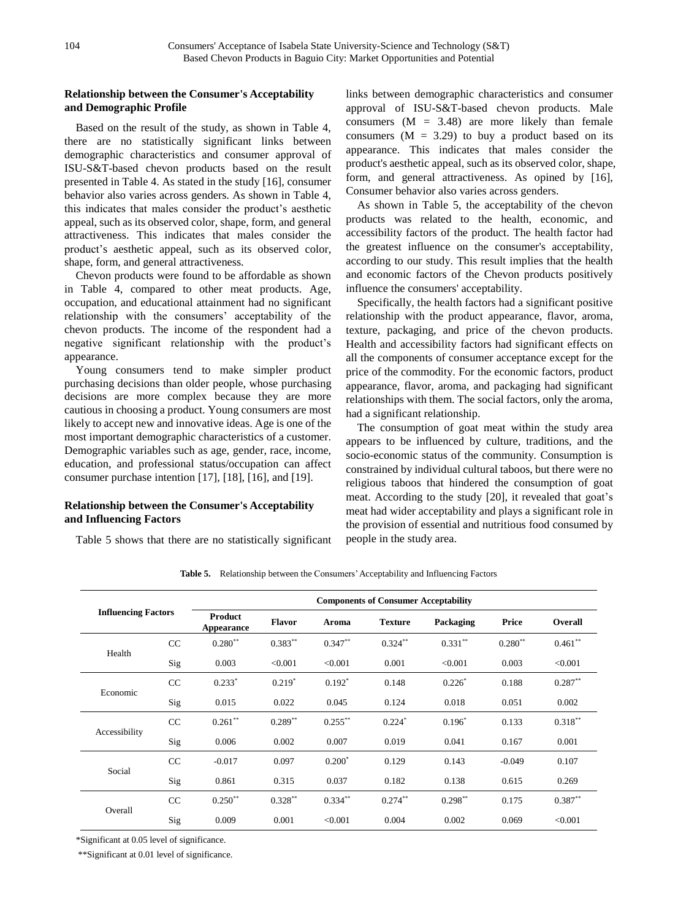## **Relationship between the Consumer's Acceptability and Demographic Profile**

Based on the result of the study, as shown in Table 4, there are no statistically significant links between demographic characteristics and consumer approval of ISU-S&T-based chevon products based on the result presented in Table 4. As stated in the study [16], consumer behavior also varies across genders. As shown in Table 4, this indicates that males consider the product's aesthetic appeal, such as its observed color, shape, form, and general attractiveness. This indicates that males consider the product's aesthetic appeal, such as its observed color, shape, form, and general attractiveness.

Chevon products were found to be affordable as shown in Table 4, compared to other meat products. Age, occupation, and educational attainment had no significant relationship with the consumers' acceptability of the chevon products. The income of the respondent had a negative significant relationship with the product's appearance.

Young consumers tend to make simpler product purchasing decisions than older people, whose purchasing decisions are more complex because they are more cautious in choosing a product. Young consumers are most likely to accept new and innovative ideas. Age is one of the most important demographic characteristics of a customer. Demographic variables such as age, gender, race, income, education, and professional status/occupation can affect consumer purchase intention [17], [18], [16], and [19].

## **Relationship between the Consumer's Acceptability and Influencing Factors**

Table 5 shows that there are no statistically significant

links between demographic characteristics and consumer approval of ISU-S&T-based chevon products. Male consumers  $(M = 3.48)$  are more likely than female consumers  $(M = 3.29)$  to buy a product based on its appearance. This indicates that males consider the product's aesthetic appeal, such as its observed color, shape, form, and general attractiveness. As opined by [16], Consumer behavior also varies across genders.

As shown in Table 5, the acceptability of the chevon products was related to the health, economic, and accessibility factors of the product. The health factor had the greatest influence on the consumer's acceptability, according to our study. This result implies that the health and economic factors of the Chevon products positively influence the consumers' acceptability.

Specifically, the health factors had a significant positive relationship with the product appearance, flavor, aroma, texture, packaging, and price of the chevon products. Health and accessibility factors had significant effects on all the components of consumer acceptance except for the price of the commodity. For the economic factors, product appearance, flavor, aroma, and packaging had significant relationships with them. The social factors, only the aroma, had a significant relationship.

The consumption of goat meat within the study area appears to be influenced by culture, traditions, and the socio-economic status of the community. Consumption is constrained by individual cultural taboos, but there were no religious taboos that hindered the consumption of goat meat. According to the study [20], it revealed that goat's meat had wider acceptability and plays a significant role in the provision of essential and nutritious food consumed by people in the study area.

| <b>Influencing Factors</b> |     | <b>Components of Consumer Acceptability</b> |               |            |                      |            |           |            |  |
|----------------------------|-----|---------------------------------------------|---------------|------------|----------------------|------------|-----------|------------|--|
|                            |     | Product<br>Appearance                       | <b>Flavor</b> | Aroma      | <b>Texture</b>       | Packaging  | Price     | Overall    |  |
|                            | CC  | $0.280**$                                   | $0.383**$     | $0.347**$  | $0.324***$           | $0.331***$ | $0.280**$ | $0.461**$  |  |
| Health                     | Sig | 0.003                                       | < 0.001       | < 0.001    | 0.001                | < 0.001    | 0.003     | < 0.001    |  |
|                            | CC  | $0.233*$                                    | $0.219*$      | $0.192*$   | 0.148                | $0.226*$   | 0.188     | $0.287***$ |  |
| Economic                   | Sig | 0.015                                       | 0.022         | 0.045      | 0.124                | 0.018      | 0.051     | 0.002      |  |
|                            | CC  | $0.261$ **                                  | $0.289**$     | $0.255***$ | $0.224$ <sup>*</sup> | $0.196*$   | 0.133     | $0.318***$ |  |
| Accessibility              | Sig | 0.006                                       | 0.002         | 0.007      | 0.019                | 0.041      | 0.167     | 0.001      |  |
|                            | CC  | $-0.017$                                    | 0.097         | $0.200*$   | 0.129                | 0.143      | $-0.049$  | 0.107      |  |
| Social                     | Sig | 0.861                                       | 0.315         | 0.037      | 0.182                | 0.138      | 0.615     | 0.269      |  |
|                            | CC  | $0.250**$                                   | $0.328***$    | $0.334***$ | $0.274***$           | $0.298***$ | 0.175     | $0.387**$  |  |
| Overall                    | Sig | 0.009                                       | 0.001         | < 0.001    | 0.004                | 0.002      | 0.069     | < 0.001    |  |

**Table 5.** Relationship between the Consumers' Acceptability and Influencing Factors

\*Significant at 0.05 level of significance.

\*\*Significant at 0.01 level of significance.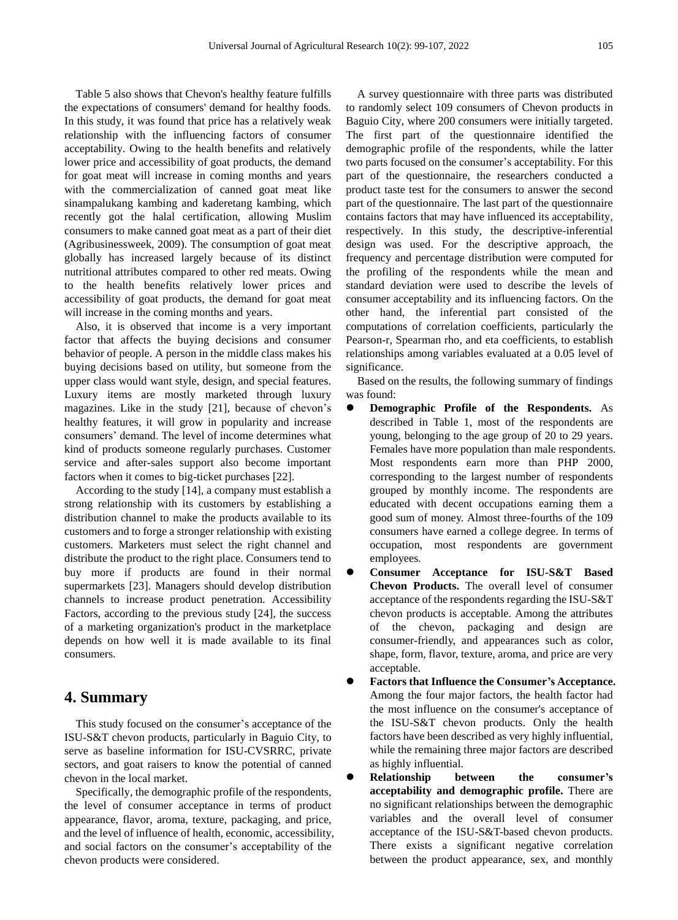Table 5 also shows that Chevon's healthy feature fulfills the expectations of consumers' demand for healthy foods. In this study, it was found that price has a relatively weak relationship with the influencing factors of consumer acceptability. Owing to the health benefits and relatively lower price and accessibility of goat products, the demand for goat meat will increase in coming months and years with the commercialization of canned goat meat like sinampalukang kambing and kaderetang kambing, which recently got the halal certification, allowing Muslim consumers to make canned goat meat as a part of their diet (Agribusinessweek, 2009). The consumption of goat meat globally has increased largely because of its distinct nutritional attributes compared to other red meats. Owing to the health benefits relatively lower prices and accessibility of goat products, the demand for goat meat will increase in the coming months and years.

Also, it is observed that income is a very important factor that affects the buying decisions and consumer behavior of people. A person in the middle class makes his buying decisions based on utility, but someone from the upper class would want style, design, and special features. Luxury items are mostly marketed through luxury magazines. Like in the study [21], because of chevon's healthy features, it will grow in popularity and increase consumers' demand. The level of income determines what kind of products someone regularly purchases. Customer service and after-sales support also become important factors when it comes to big-ticket purchases [22].

According to the study [14], a company must establish a strong relationship with its customers by establishing a distribution channel to make the products available to its customers and to forge a stronger relationship with existing customers. Marketers must select the right channel and distribute the product to the right place. Consumers tend to buy more if products are found in their normal supermarkets [23]. Managers should develop distribution channels to increase product penetration. Accessibility Factors, according to the previous study [24], the success of a marketing organization's product in the marketplace depends on how well it is made available to its final consumers.

## **4. Summary**

This study focused on the consumer's acceptance of the ISU-S&T chevon products, particularly in Baguio City, to serve as baseline information for ISU-CVSRRC, private sectors, and goat raisers to know the potential of canned chevon in the local market.

Specifically, the demographic profile of the respondents, the level of consumer acceptance in terms of product appearance, flavor, aroma, texture, packaging, and price, and the level of influence of health, economic, accessibility, and social factors on the consumer's acceptability of the chevon products were considered.

A survey questionnaire with three parts was distributed to randomly select 109 consumers of Chevon products in Baguio City, where 200 consumers were initially targeted. The first part of the questionnaire identified the demographic profile of the respondents, while the latter two parts focused on the consumer's acceptability. For this part of the questionnaire, the researchers conducted a product taste test for the consumers to answer the second part of the questionnaire. The last part of the questionnaire contains factors that may have influenced its acceptability, respectively. In this study, the descriptive-inferential design was used. For the descriptive approach, the frequency and percentage distribution were computed for the profiling of the respondents while the mean and standard deviation were used to describe the levels of consumer acceptability and its influencing factors. On the other hand, the inferential part consisted of the computations of correlation coefficients, particularly the Pearson-r, Spearman rho, and eta coefficients, to establish relationships among variables evaluated at a 0.05 level of significance.

Based on the results, the following summary of findings was found:

- **Demographic Profile of the Respondents.** As described in Table 1, most of the respondents are young, belonging to the age group of 20 to 29 years. Females have more population than male respondents. Most respondents earn more than PHP 2000, corresponding to the largest number of respondents grouped by monthly income. The respondents are educated with decent occupations earning them a good sum of money. Almost three-fourths of the 109 consumers have earned a college degree. In terms of occupation, most respondents are government employees.
- **Consumer Acceptance for ISU-S&T Based Chevon Products.** The overall level of consumer acceptance of the respondents regarding the ISU-S&T chevon products is acceptable. Among the attributes of the chevon, packaging and design are consumer-friendly, and appearances such as color, shape, form, flavor, texture, aroma, and price are very acceptable.
- **Factors that Influence the Consumer's Acceptance.** Among the four major factors, the health factor had the most influence on the consumer's acceptance of the ISU-S&T chevon products. Only the health factors have been described as very highly influential, while the remaining three major factors are described as highly influential.
- **Relationship between the consumer's acceptability and demographic profile.** There are no significant relationships between the demographic variables and the overall level of consumer acceptance of the ISU-S&T-based chevon products. There exists a significant negative correlation between the product appearance, sex, and monthly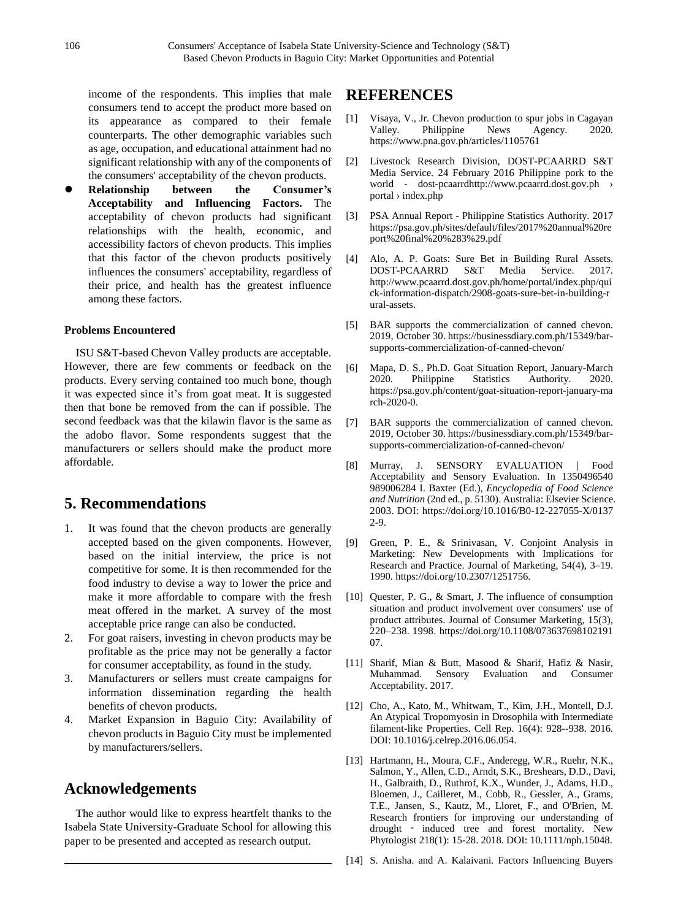income of the respondents. This implies that male consumers tend to accept the product more based on its appearance as compared to their female counterparts. The other demographic variables such as age, occupation, and educational attainment had no significant relationship with any of the components of the consumers' acceptability of the chevon products.

 **Relationship between the Consumer's Acceptability and Influencing Factors.** The acceptability of chevon products had significant relationships with the health, economic, and accessibility factors of chevon products. This implies that this factor of the chevon products positively influences the consumers' acceptability, regardless of their price, and health has the greatest influence among these factors.

### **Problems Encountered**

ISU S&T-based Chevon Valley products are acceptable. However, there are few comments or feedback on the products. Every serving contained too much bone, though it was expected since it's from goat meat. It is suggested then that bone be removed from the can if possible. The second feedback was that the kilawin flavor is the same as the adobo flavor. Some respondents suggest that the manufacturers or sellers should make the product more affordable.

# **5. Recommendations**

- 1. It was found that the chevon products are generally accepted based on the given components. However, based on the initial interview, the price is not competitive for some. It is then recommended for the food industry to devise a way to lower the price and make it more affordable to compare with the fresh meat offered in the market. A survey of the most acceptable price range can also be conducted.
- 2. For goat raisers, investing in chevon products may be profitable as the price may not be generally a factor for consumer acceptability, as found in the study.
- 3. Manufacturers or sellers must create campaigns for information dissemination regarding the health benefits of chevon products.
- 4. Market Expansion in Baguio City: Availability of chevon products in Baguio City must be implemented by manufacturers/sellers.

# **Acknowledgements**

The author would like to express heartfelt thanks to the Isabela State University-Graduate School for allowing this paper to be presented and accepted as research output.

# **REFERENCES**

- [1] Visaya, V., Jr. Chevon production to spur jobs in Cagayan Valley. Philippine News Agency. 2020. https://www.pna.gov.ph/articles/1105761
- [2] Livestock Research Division, DOST-PCAARRD S&T Media Service. 24 February 2016 Philippine pork to the world - dost-pcaarrdhttp://www.pcaarrd.dost.gov.ph › portal › index.php
- [3] PSA Annual Report Philippine Statistics Authority. 2017 https://psa.gov.ph/sites/default/files/2017%20annual%20re port%20final%20%283%29.pdf
- [4] Alo, A. P. Goats: Sure Bet in Building Rural Assets. DOST-PCAARRD S&T Media Service. 2017. http://www.pcaarrd.dost.gov.ph/home/portal/index.php/qui ck-information-dispatch/2908-goats-sure-bet-in-building-r ural-assets.
- [5] BAR supports the commercialization of canned chevon. 2019, October 30. https://businessdiary.com.ph/15349/barsupports-commercialization-of-canned-chevon/
- [6] Mapa, D. S., Ph.D. Goat Situation Report, January-March 2020. Philippine Statistics Authority. 2020. https://psa.gov.ph/content/goat-situation-report-january-ma rch-2020-0.
- [7] BAR supports the commercialization of canned chevon. 2019, October 30. https://businessdiary.com.ph/15349/barsupports-commercialization-of-canned-chevon/
- [8] Murray, J. SENSORY EVALUATION | Food Acceptability and Sensory Evaluation. In 1350496540 989006284 I. Baxter (Ed.), *Encyclopedia of Food Science and Nutrition* (2nd ed., p. 5130). Australia: Elsevier Science. 2003. DOI: https://doi.org/10.1016/B0-12-227055-X/0137 2-9.
- [9] Green, P. E., & Srinivasan, V. Conjoint Analysis in Marketing: New Developments with Implications for Research and Practice. Journal of Marketing, 54(4), 3–19. 1990. https://doi.org/10.2307/1251756.
- [10] Quester, P. G., & Smart, J. The influence of consumption situation and product involvement over consumers' use of product attributes. Journal of Consumer Marketing, 15(3), 220–238. 1998. https://doi.org/10.1108/073637698102191 07.
- [11] Sharif, Mian & Butt, Masood & Sharif, Hafiz & Nasir, Muhammad. Sensory Evaluation and Consumer Acceptability. 2017.
- [12] Cho, A., Kato, M., Whitwam, T., Kim, J.H., Montell, D.J. An Atypical Tropomyosin in Drosophila with Intermediate filament-like Properties. Cell Rep. 16(4): 928--938. 2016. DOI: 10.1016/j.celrep.2016.06.054.
- [13] Hartmann, H., Moura, C.F., Anderegg, W.R., Ruehr, N.K., Salmon, Y., Allen, C.D., Arndt, S.K., Breshears, D.D., Davi, H., Galbraith, D., Ruthrof, K.X., Wunder, J., Adams, H.D., Bloemen, J., Cailleret, M., Cobb, R., Gessler, A., Grams, T.E., Jansen, S., Kautz, M., Lloret, F., and O'Brien, M. Research frontiers for improving our understanding of drought - induced tree and forest mortality. New Phytologist 218(1): 15-28. 2018. DOI: 10.1111/nph.15048.
- [14] S. Anisha. and A. Kalaivani. Factors Influencing Buyers